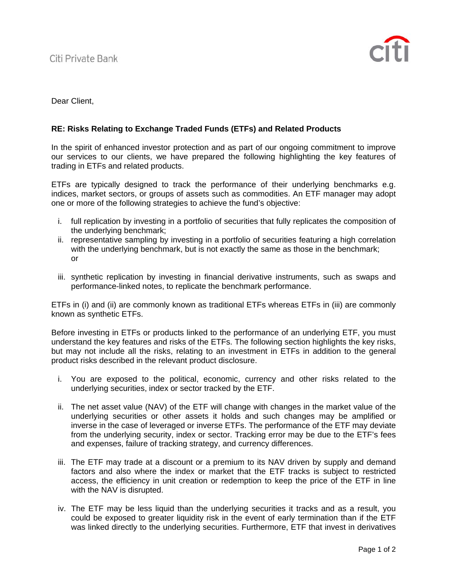

Dear Client,

## **RE: Risks Relating to Exchange Traded Funds (ETFs) and Related Products**

In the spirit of enhanced investor protection and as part of our ongoing commitment to improve our services to our clients, we have prepared the following highlighting the key features of trading in ETFs and related products.

ETFs are typically designed to track the performance of their underlying benchmarks e.g. indices, market sectors, or groups of assets such as commodities. An ETF manager may adopt one or more of the following strategies to achieve the fund's objective:

- i. full replication by investing in a portfolio of securities that fully replicates the composition of the underlying benchmark;
- ii. representative sampling by investing in a portfolio of securities featuring a high correlation with the underlying benchmark, but is not exactly the same as those in the benchmark; or
- iii. synthetic replication by investing in financial derivative instruments, such as swaps and performance-linked notes, to replicate the benchmark performance.

ETFs in (i) and (ii) are commonly known as traditional ETFs whereas ETFs in (iii) are commonly known as synthetic ETFs.

Before investing in ETFs or products linked to the performance of an underlying ETF, you must understand the key features and risks of the ETFs. The following section highlights the key risks, but may not include all the risks, relating to an investment in ETFs in addition to the general product risks described in the relevant product disclosure.

- i. You are exposed to the political, economic, currency and other risks related to the underlying securities, index or sector tracked by the ETF.
- ii. The net asset value (NAV) of the ETF will change with changes in the market value of the underlying securities or other assets it holds and such changes may be amplified or inverse in the case of leveraged or inverse ETFs. The performance of the ETF may deviate from the underlying security, index or sector. Tracking error may be due to the ETF's fees and expenses, failure of tracking strategy, and currency differences.
- iii. The ETF may trade at a discount or a premium to its NAV driven by supply and demand factors and also where the index or market that the ETF tracks is subject to restricted access, the efficiency in unit creation or redemption to keep the price of the ETF in line with the NAV is disrupted.
- iv. The ETF may be less liquid than the underlying securities it tracks and as a result, you could be exposed to greater liquidity risk in the event of early termination than if the ETF was linked directly to the underlying securities. Furthermore, ETF that invest in derivatives